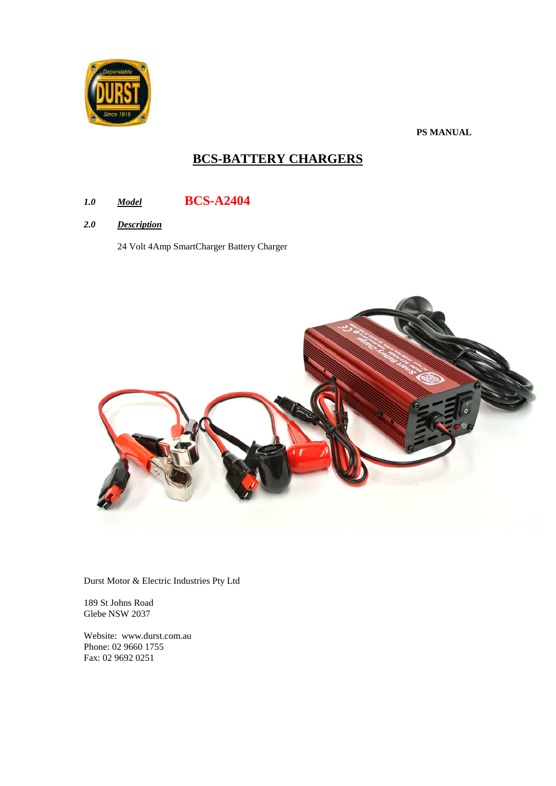

**PS MANUAL**

# **BCS-BATTERY CHARGERS**

# *1.0 Model* **BCS-A2404**

*2.0 Description*

24 Volt 4Amp SmartCharger Battery Charger



Durst Motor & Electric Industries Pty Ltd

189 St Johns Road Glebe NSW 2037

Website: www.durst.com.au Phone: 02 9660 1755 Fax: 02 9692 0251